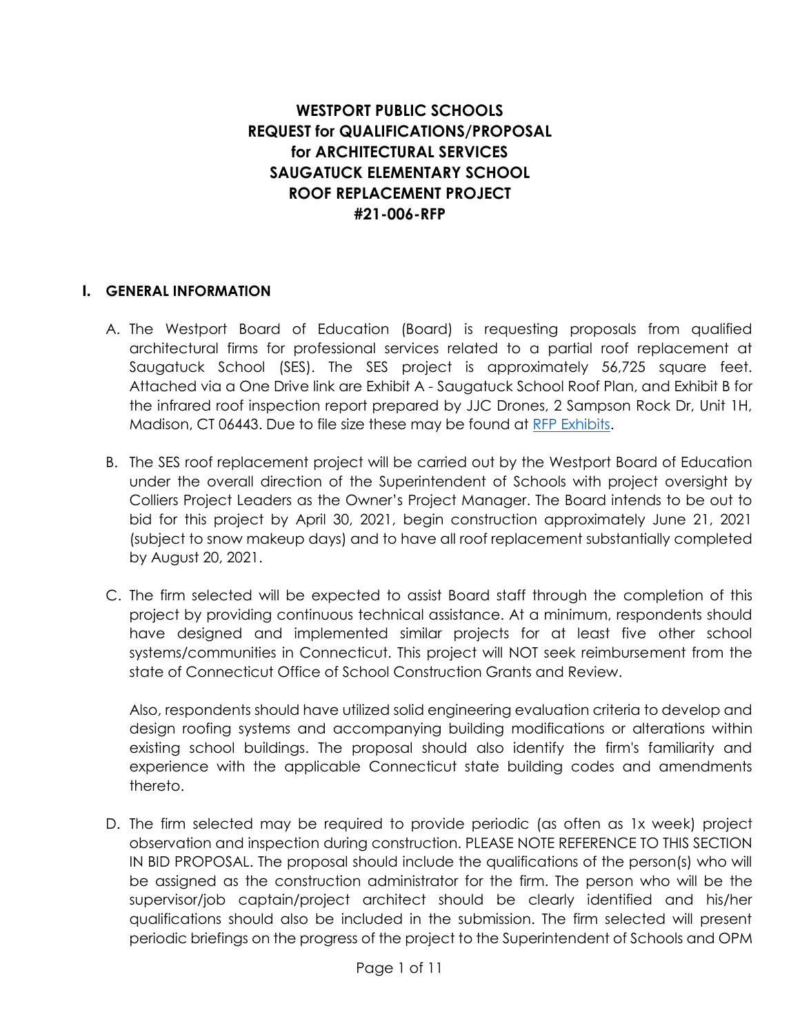# **WESTPORT PUBLIC SCHOOLS REQUEST for QUALIFICATIONS/PROPOSAL for ARCHITECTURAL SERVICES SAUGATUCK ELEMENTARY SCHOOL ROOF REPLACEMENT PROJECT #21-006-RFP**

#### **I. GENERAL INFORMATION**

- A. The Westport Board of Education (Board) is requesting proposals from qualified architectural firms for professional services related to a partial roof replacement at Saugatuck School (SES). The SES project is approximately 56,725 square feet. Attached via a One Drive link are Exhibit A - Saugatuck School Roof Plan, and Exhibit B for the infrared roof inspection report prepared by JJC Drones, 2 Sampson Rock Dr, Unit 1H, Madison, CT 06443. Due to file size these may be found at [RFP Exhibits.](https://colliers-my.sharepoint.com/personal/charles_warrington_colliers_com/_layouts/15/guestaccess.aspx?folderid=0d45ee4418be14f17b284195922df3909&authkey=AXm5ltdElXLKWQ7TZgE74gI&expiration=2021-05-02T04%3A00%3A00.000Z&e=YIomIN)
- B. The SES roof replacement project will be carried out by the Westport Board of Education under the overall direction of the Superintendent of Schools with project oversight by Colliers Project Leaders as the Owner's Project Manager. The Board intends to be out to bid for this project by April 30, 2021, begin construction approximately June 21, 2021 (subject to snow makeup days) and to have all roof replacement substantially completed by August 20, 2021.
- C. The firm selected will be expected to assist Board staff through the completion of this project by providing continuous technical assistance. At a minimum, respondents should have designed and implemented similar projects for at least five other school systems/communities in Connecticut. This project will NOT seek reimbursement from the state of Connecticut Office of School Construction Grants and Review.

Also, respondents should have utilized solid engineering evaluation criteria to develop and design roofing systems and accompanying building modifications or alterations within existing school buildings. The proposal should also identify the firm's familiarity and experience with the applicable Connecticut state building codes and amendments thereto.

D. The firm selected may be required to provide periodic (as often as 1x week) project observation and inspection during construction. PLEASE NOTE REFERENCE TO THIS SECTION IN BID PROPOSAL. The proposal should include the qualifications of the person(s) who will be assigned as the construction administrator for the firm. The person who will be the supervisor/job captain/project architect should be clearly identified and his/her qualifications should also be included in the submission. The firm selected will present periodic briefings on the progress of the project to the Superintendent of Schools and OPM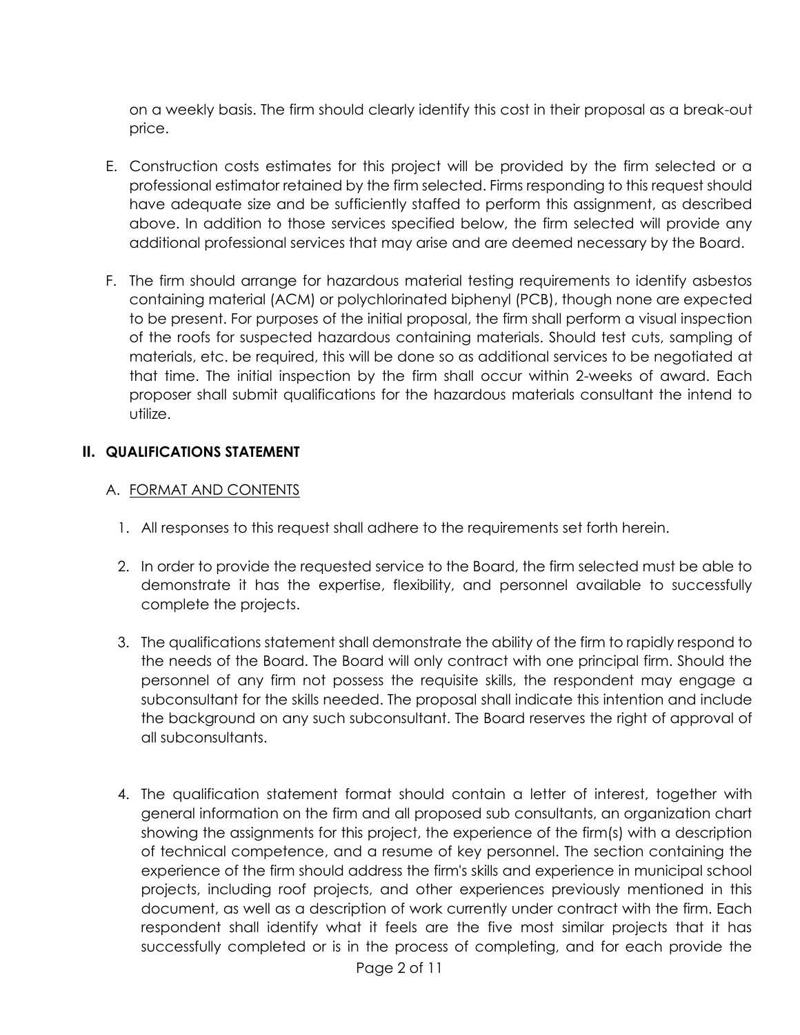on a weekly basis. The firm should clearly identify this cost in their proposal as a break-out price.

- E. Construction costs estimates for this project will be provided by the firm selected or a professional estimator retained by the firm selected. Firms responding to this request should have adequate size and be sufficiently staffed to perform this assignment, as described above. In addition to those services specified below, the firm selected will provide any additional professional services that may arise and are deemed necessary by the Board.
- F. The firm should arrange for hazardous material testing requirements to identify asbestos containing material (ACM) or polychlorinated biphenyl (PCB), though none are expected to be present. For purposes of the initial proposal, the firm shall perform a visual inspection of the roofs for suspected hazardous containing materials. Should test cuts, sampling of materials, etc. be required, this will be done so as additional services to be negotiated at that time. The initial inspection by the firm shall occur within 2-weeks of award. Each proposer shall submit qualifications for the hazardous materials consultant the intend to utilize.

#### **II. QUALIFICATIONS STATEMENT**

#### A. FORMAT AND CONTENTS

- 1. All responses to this request shall adhere to the requirements set forth herein.
- 2. In order to provide the requested service to the Board, the firm selected must be able to demonstrate it has the expertise, flexibility, and personnel available to successfully complete the projects.
- 3. The qualifications statement shall demonstrate the ability of the firm to rapidly respond to the needs of the Board. The Board will only contract with one principal firm. Should the personnel of any firm not possess the requisite skills, the respondent may engage a subconsultant for the skills needed. The proposal shall indicate this intention and include the background on any such subconsultant. The Board reserves the right of approval of all subconsultants.
- 4. The qualification statement format should contain a letter of interest, together with general information on the firm and all proposed sub consultants, an organization chart showing the assignments for this project, the experience of the firm(s) with a description of technical competence, and a resume of key personnel. The section containing the experience of the firm should address the firm's skills and experience in municipal school projects, including roof projects, and other experiences previously mentioned in this document, as well as a description of work currently under contract with the firm. Each respondent shall identify what it feels are the five most similar projects that it has successfully completed or is in the process of completing, and for each provide the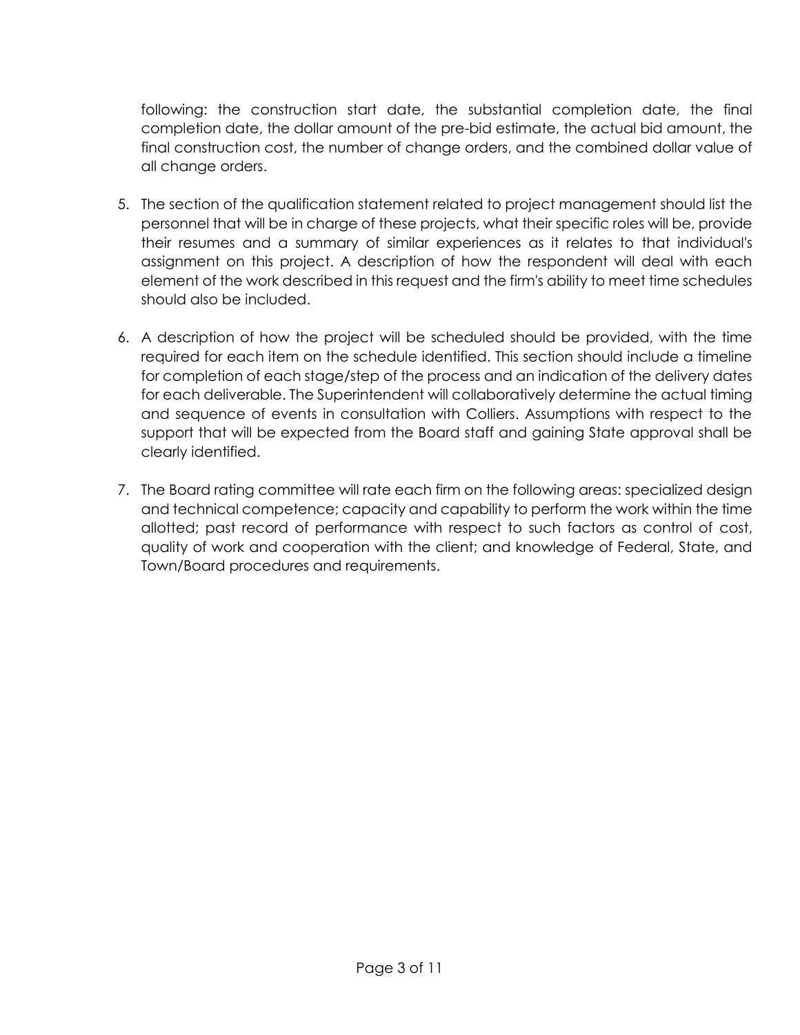following: the construction start date, the substantial completion date, the final completion date, the dollar amount of the pre-bid estimate, the actual bid amount, the final construction cost, the number of change orders, and the combined dollar value of all change orders.

- 5. The section of the qualification statement related to project management should list the personnel that will be in charge of these projects, what their specific roles will be, provide their resumes and a summary of similar experiences as it relates to that individual's assignment on this project. A description of how the respondent will deal with each element of the work described in this request and the firm's ability to meet time schedules should also be included.
- 6. A description of how the project will be scheduled should be provided, with the time required for each item on the schedule identified. This section should include a timeline for completion of each stage/step of the process and an indication of the delivery dates for each deliverable. The Superintendent will collaboratively determine the actual timing and sequence of events in consultation with Colliers. Assumptions with respect to the support that will be expected from the Board staff and gaining State approval shall be clearly identified.
- 7. The Board rating committee will rate each firm on the following areas: specialized design and technical competence; capacity and capability to perform the work within the time allotted; past record of performance with respect to such factors as control of cost, quality of work and cooperation with the client; and knowledge of Federal, State, and Town/Board procedures and requirements.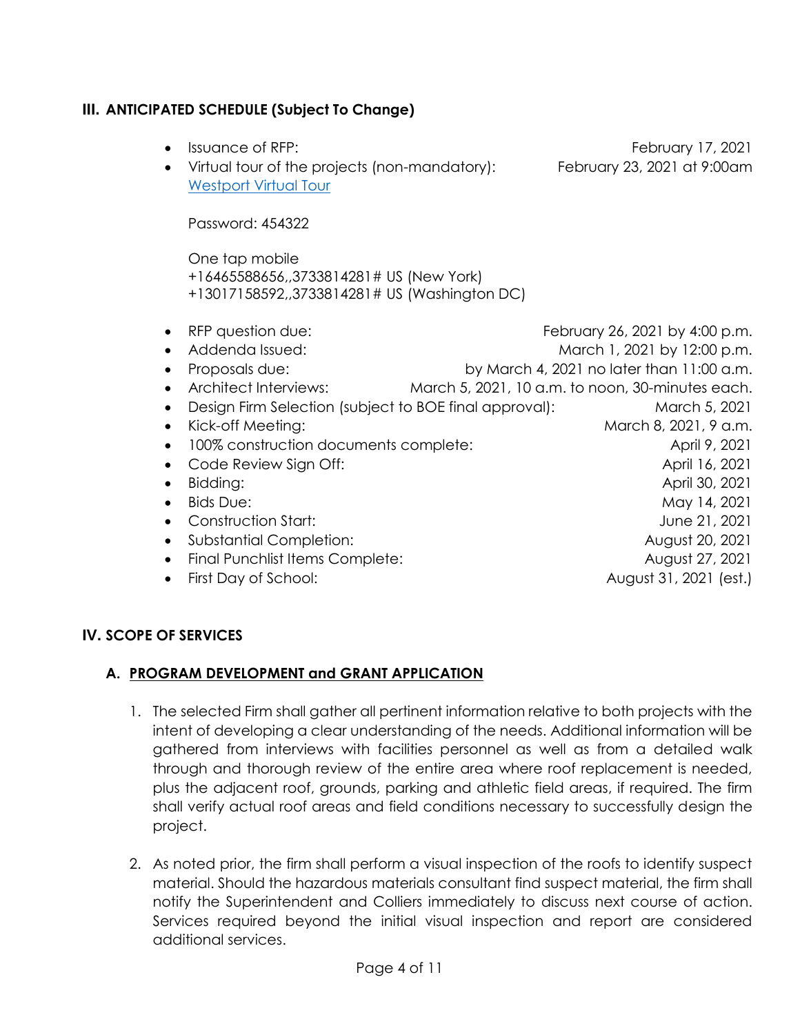#### **III. ANTICIPATED SCHEDULE (Subject To Change)**

- 
- Virtual tour of the projects (non-mandatory): February 23, 2021 at 9:00am [Westport Virtual Tour](https://colliers.zoom.us/j/3733814281?pwd=QldoYmI1WnFPZnRaVHU3NXJUWEtOZz09)

• Issuance of RFP: Example 2021 and the state of RFP:

Password: 454322

One tap mobile +16465588656,,3733814281# US (New York) +13017158592,,3733814281# US (Washington DC)

 RFP question due: February 26, 2021 by 4:00 p.m. • Addenda Issued: March 1, 2021 by 12:00 p.m. Proposals due: by March 4, 2021 no later than 11:00 a.m. Architect Interviews: March 5, 2021, 10 a.m. to noon, 30-minutes each. • Design Firm Selection (subject to BOE final approval): March 5, 2021 • Kick-off Meeting: etc. and the matrix of the March 8, 2021, 9 a.m. • 100% construction documents complete: April 9, 2021 • Code Review Sign Off: April 16, 2021 Bidding: April 30, 2021 Bids Due: May 14, 2021 Construction Start: June 21, 2021 • Substantial Completion: August 20, 2021 • Final Punchlist Items Complete:  $\overline{A}$  August 27, 2021 First Day of School: August 31, 2021 (est.)

### **IV. SCOPE OF SERVICES**

#### **A. PROGRAM DEVELOPMENT and GRANT APPLICATION**

- 1. The selected Firm shall gather all pertinent information relative to both projects with the intent of developing a clear understanding of the needs. Additional information will be gathered from interviews with facilities personnel as well as from a detailed walk through and thorough review of the entire area where roof replacement is needed, plus the adjacent roof, grounds, parking and athletic field areas, if required. The firm shall verify actual roof areas and field conditions necessary to successfully design the project.
- 2. As noted prior, the firm shall perform a visual inspection of the roofs to identify suspect material. Should the hazardous materials consultant find suspect material, the firm shall notify the Superintendent and Colliers immediately to discuss next course of action. Services required beyond the initial visual inspection and report are considered additional services.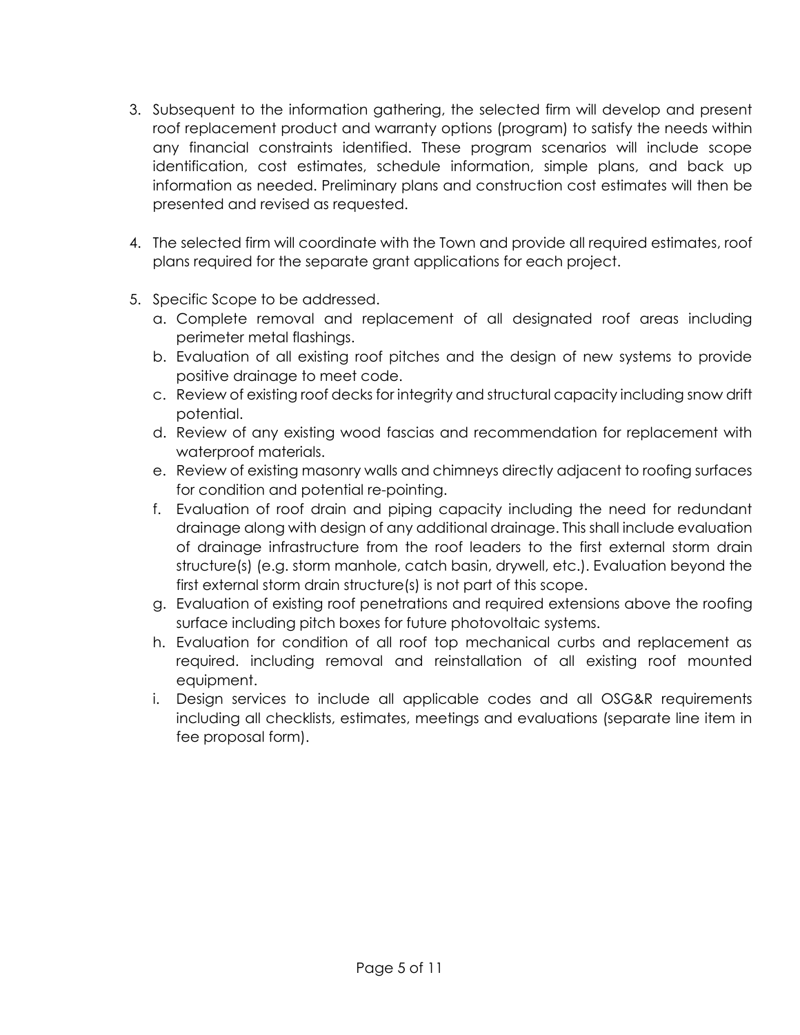- 3. Subsequent to the information gathering, the selected firm will develop and present roof replacement product and warranty options (program) to satisfy the needs within any financial constraints identified. These program scenarios will include scope identification, cost estimates, schedule information, simple plans, and back up information as needed. Preliminary plans and construction cost estimates will then be presented and revised as requested.
- 4. The selected firm will coordinate with the Town and provide all required estimates, roof plans required for the separate grant applications for each project.
- 5. Specific Scope to be addressed.
	- a. Complete removal and replacement of all designated roof areas including perimeter metal flashings.
	- b. Evaluation of all existing roof pitches and the design of new systems to provide positive drainage to meet code.
	- c. Review of existing roof decks for integrity and structural capacity including snow drift potential.
	- d. Review of any existing wood fascias and recommendation for replacement with waterproof materials.
	- e. Review of existing masonry walls and chimneys directly adjacent to roofing surfaces for condition and potential re-pointing.
	- f. Evaluation of roof drain and piping capacity including the need for redundant drainage along with design of any additional drainage. This shall include evaluation of drainage infrastructure from the roof leaders to the first external storm drain structure(s) (e.g. storm manhole, catch basin, drywell, etc.). Evaluation beyond the first external storm drain structure(s) is not part of this scope.
	- g. Evaluation of existing roof penetrations and required extensions above the roofing surface including pitch boxes for future photovoltaic systems.
	- h. Evaluation for condition of all roof top mechanical curbs and replacement as required. including removal and reinstallation of all existing roof mounted equipment.
	- i. Design services to include all applicable codes and all OSG&R requirements including all checklists, estimates, meetings and evaluations (separate line item in fee proposal form).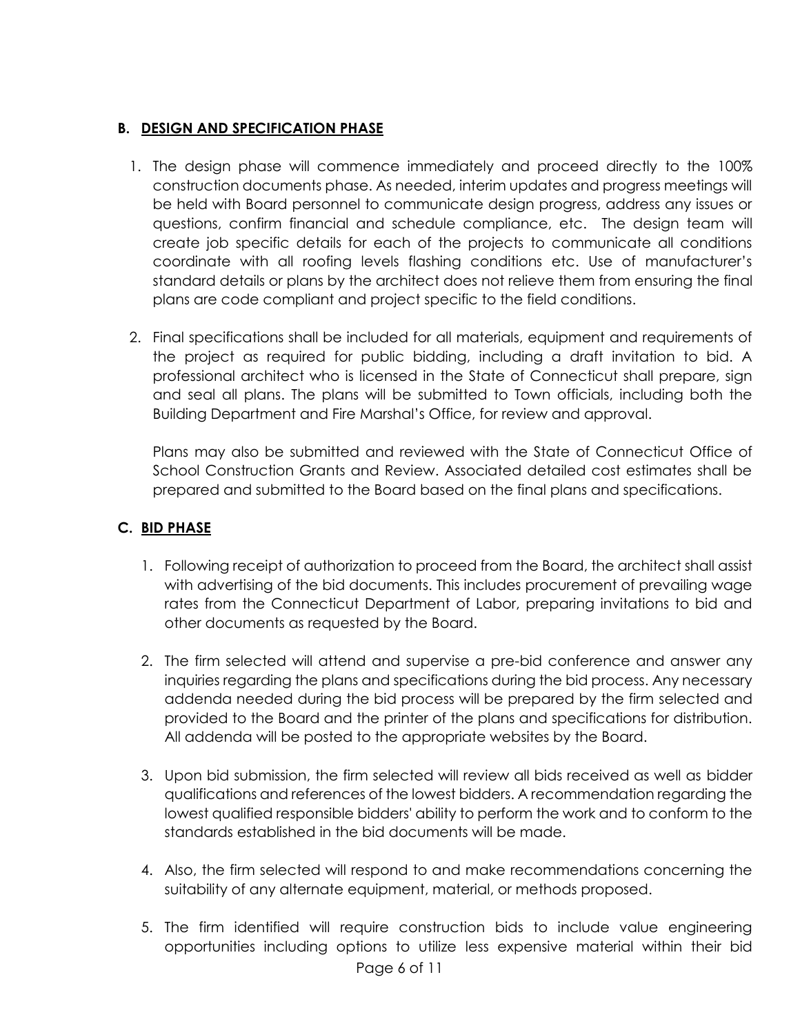### **B. DESIGN AND SPECIFICATION PHASE**

- 1. The design phase will commence immediately and proceed directly to the 100% construction documents phase. As needed, interim updates and progress meetings will be held with Board personnel to communicate design progress, address any issues or questions, confirm financial and schedule compliance, etc. The design team will create job specific details for each of the projects to communicate all conditions coordinate with all roofing levels flashing conditions etc. Use of manufacturer's standard details or plans by the architect does not relieve them from ensuring the final plans are code compliant and project specific to the field conditions.
- 2. Final specifications shall be included for all materials, equipment and requirements of the project as required for public bidding, including a draft invitation to bid. A professional architect who is licensed in the State of Connecticut shall prepare, sign and seal all plans. The plans will be submitted to Town officials, including both the Building Department and Fire Marshal's Office, for review and approval.

Plans may also be submitted and reviewed with the State of Connecticut Office of School Construction Grants and Review. Associated detailed cost estimates shall be prepared and submitted to the Board based on the final plans and specifications.

### **C. BID PHASE**

- 1. Following receipt of authorization to proceed from the Board, the architect shall assist with advertising of the bid documents. This includes procurement of prevailing wage rates from the Connecticut Department of Labor, preparing invitations to bid and other documents as requested by the Board.
- 2. The firm selected will attend and supervise a pre-bid conference and answer any inquiries regarding the plans and specifications during the bid process. Any necessary addenda needed during the bid process will be prepared by the firm selected and provided to the Board and the printer of the plans and specifications for distribution. All addenda will be posted to the appropriate websites by the Board.
- 3. Upon bid submission, the firm selected will review all bids received as well as bidder qualifications and references of the lowest bidders. A recommendation regarding the lowest qualified responsible bidders' ability to perform the work and to conform to the standards established in the bid documents will be made.
- 4. Also, the firm selected will respond to and make recommendations concerning the suitability of any alternate equipment, material, or methods proposed.
- Page 6 of 11 5. The firm identified will require construction bids to include value engineering opportunities including options to utilize less expensive material within their bid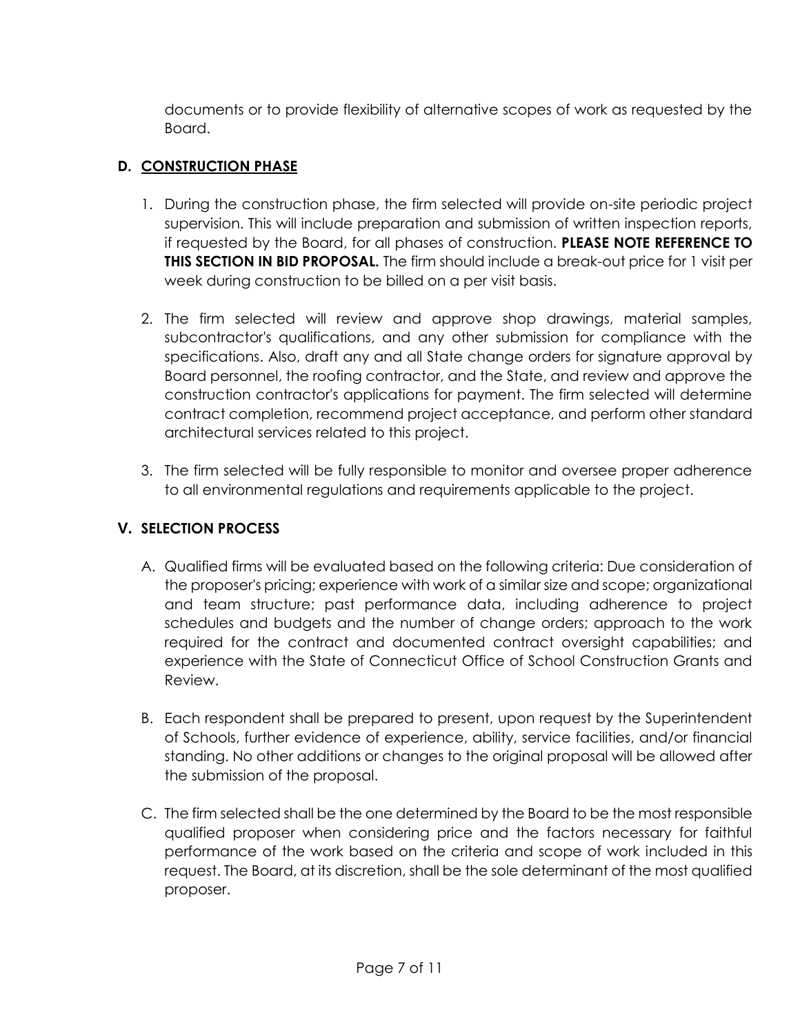documents or to provide flexibility of alternative scopes of work as requested by the Board.

## **D. CONSTRUCTION PHASE**

- 1. During the construction phase, the firm selected will provide on-site periodic project supervision. This will include preparation and submission of written inspection reports, if requested by the Board, for all phases of construction. **PLEASE NOTE REFERENCE TO THIS SECTION IN BID PROPOSAL.** The firm should include a break-out price for 1 visit per week during construction to be billed on a per visit basis.
- 2. The firm selected will review and approve shop drawings, material samples, subcontractor's qualifications, and any other submission for compliance with the specifications. Also, draft any and all State change orders for signature approval by Board personnel, the roofing contractor, and the State, and review and approve the construction contractor's applications for payment. The firm selected will determine contract completion, recommend project acceptance, and perform other standard architectural services related to this project.
- 3. The firm selected will be fully responsible to monitor and oversee proper adherence to all environmental regulations and requirements applicable to the project.

### **V. SELECTION PROCESS**

- A. Qualified firms will be evaluated based on the following criteria: Due consideration of the proposer's pricing; experience with work of a similar size and scope; organizational and team structure; past performance data, including adherence to project schedules and budgets and the number of change orders; approach to the work required for the contract and documented contract oversight capabilities; and experience with the State of Connecticut Office of School Construction Grants and Review.
- B. Each respondent shall be prepared to present, upon request by the Superintendent of Schools, further evidence of experience, ability, service facilities, and/or financial standing. No other additions or changes to the original proposal will be allowed after the submission of the proposal.
- C. The firm selected shall be the one determined by the Board to be the most responsible qualified proposer when considering price and the factors necessary for faithful performance of the work based on the criteria and scope of work included in this request. The Board, at its discretion, shall be the sole determinant of the most qualified proposer.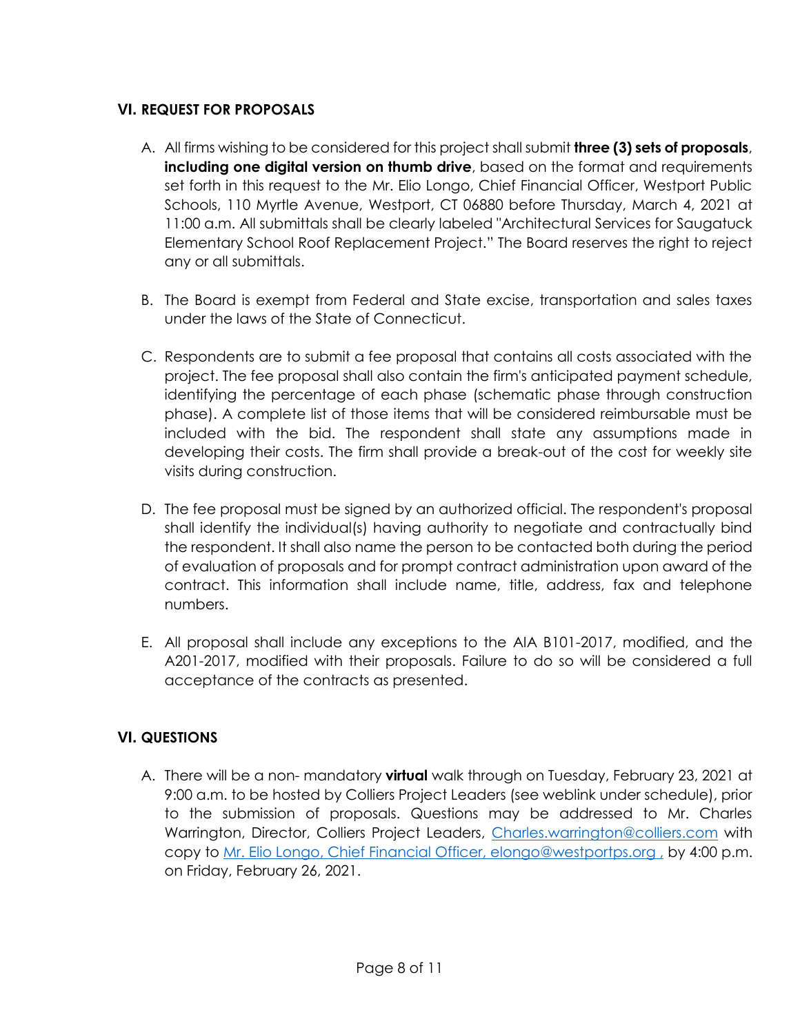### **VI. REQUEST FOR PROPOSALS**

- A. All firms wishing to be considered for this project shall submit **three (3) sets of proposals**, **including one digital version on thumb drive**, based on the format and requirements set forth in this request to the Mr. Elio Longo, Chief Financial Officer, Westport Public Schools, 110 Myrtle Avenue, Westport, CT 06880 before Thursday, March 4, 2021 at 11:00 a.m. All submittals shall be clearly labeled "Architectural Services for Saugatuck Elementary School Roof Replacement Project." The Board reserves the right to reject any or all submittals.
- B. The Board is exempt from Federal and State excise, transportation and sales taxes under the laws of the State of Connecticut.
- C. Respondents are to submit a fee proposal that contains all costs associated with the project. The fee proposal shall also contain the firm's anticipated payment schedule, identifying the percentage of each phase (schematic phase through construction phase). A complete list of those items that will be considered reimbursable must be included with the bid. The respondent shall state any assumptions made in developing their costs. The firm shall provide a break-out of the cost for weekly site visits during construction.
- D. The fee proposal must be signed by an authorized official. The respondent's proposal shall identify the individual(s) having authority to negotiate and contractually bind the respondent. It shall also name the person to be contacted both during the period of evaluation of proposals and for prompt contract administration upon award of the contract. This information shall include name, title, address, fax and telephone numbers.
- E. All proposal shall include any exceptions to the AIA B101-2017, modified, and the A201-2017, modified with their proposals. Failure to do so will be considered a full acceptance of the contracts as presented.

### **VI. QUESTIONS**

A. There will be a non- mandatory **virtual** walk through on Tuesday, February 23, 2021 at 9:00 a.m. to be hosted by Colliers Project Leaders (see weblink under schedule), prior to the submission of proposals. Questions may be addressed to Mr. Charles Warrington, Director, Colliers Project Leaders, [Charles.warrington@colliers.com](mailto:Charles.warrington@colliers.com) with copy to Mr. Elio Longo, Chief Financial Officer, elongo@westportps.org, by 4:00 p.m. on Friday, February 26, 2021.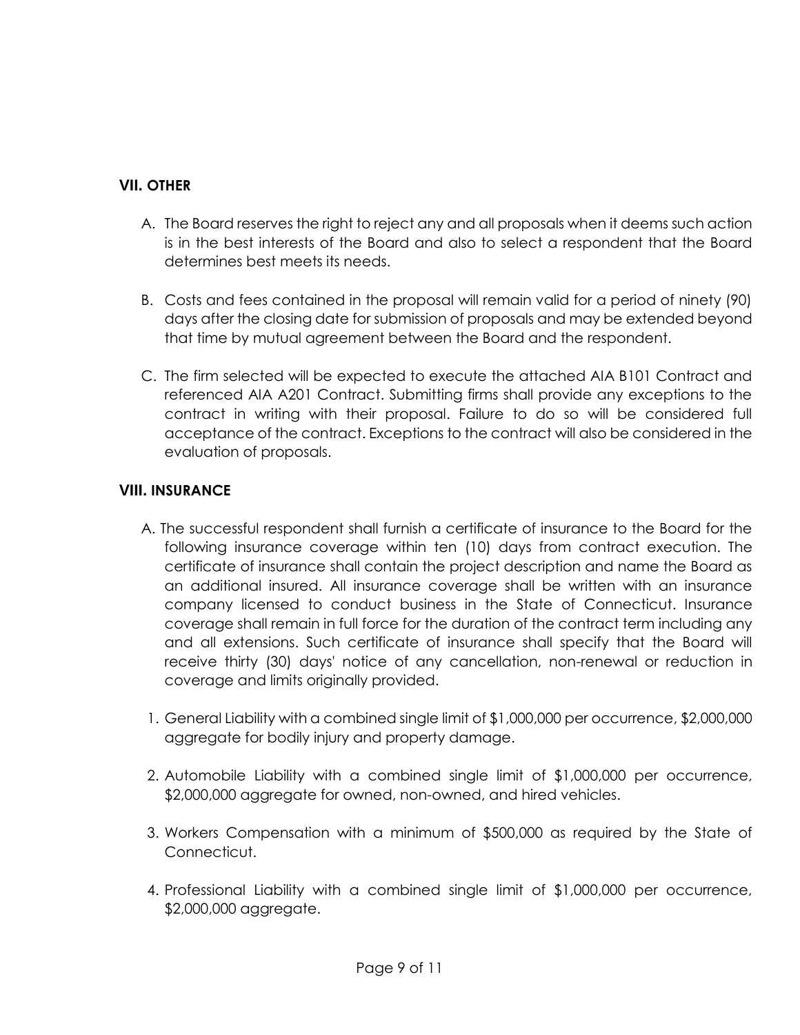# **VII. OTHER**

- A. The Board reserves the right to reject any and all proposals when it deems such action is in the best interests of the Board and also to select a respondent that the Board determines best meets its needs.
- B. Costs and fees contained in the proposal will remain valid for a period of ninety (90) days after the closing date for submission of proposals and may be extended beyond that time by mutual agreement between the Board and the respondent.
- C. The firm selected will be expected to execute the attached AIA B101 Contract and referenced AIA A201 Contract. Submitting firms shall provide any exceptions to the contract in writing with their proposal. Failure to do so will be considered full acceptance of the contract. Exceptions to the contract will also be considered in the evaluation of proposals.

### **VIII. INSURANCE**

- A. The successful respondent shall furnish a certificate of insurance to the Board for the following insurance coverage within ten (10) days from contract execution. The certificate of insurance shall contain the project description and name the Board as an additional insured. All insurance coverage shall be written with an insurance company licensed to conduct business in the State of Connecticut. Insurance coverage shall remain in full force for the duration of the contract term including any and all extensions. Such certificate of insurance shall specify that the Board will receive thirty (30) days' notice of any cancellation, non-renewal or reduction in coverage and limits originally provided.
- 1. General Liability with a combined single limit of \$1,000,000 per occurrence, \$2,000,000 aggregate for bodily injury and property damage.
- 2. Automobile Liability with a combined single limit of \$1,000,000 per occurrence, \$2,000,000 aggregate for owned, non-owned, and hired vehicles.
- 3. Workers Compensation with a minimum of \$500,000 as required by the State of Connecticut.
- 4. Professional Liability with a combined single limit of \$1,000,000 per occurrence, \$2,000,000 aggregate.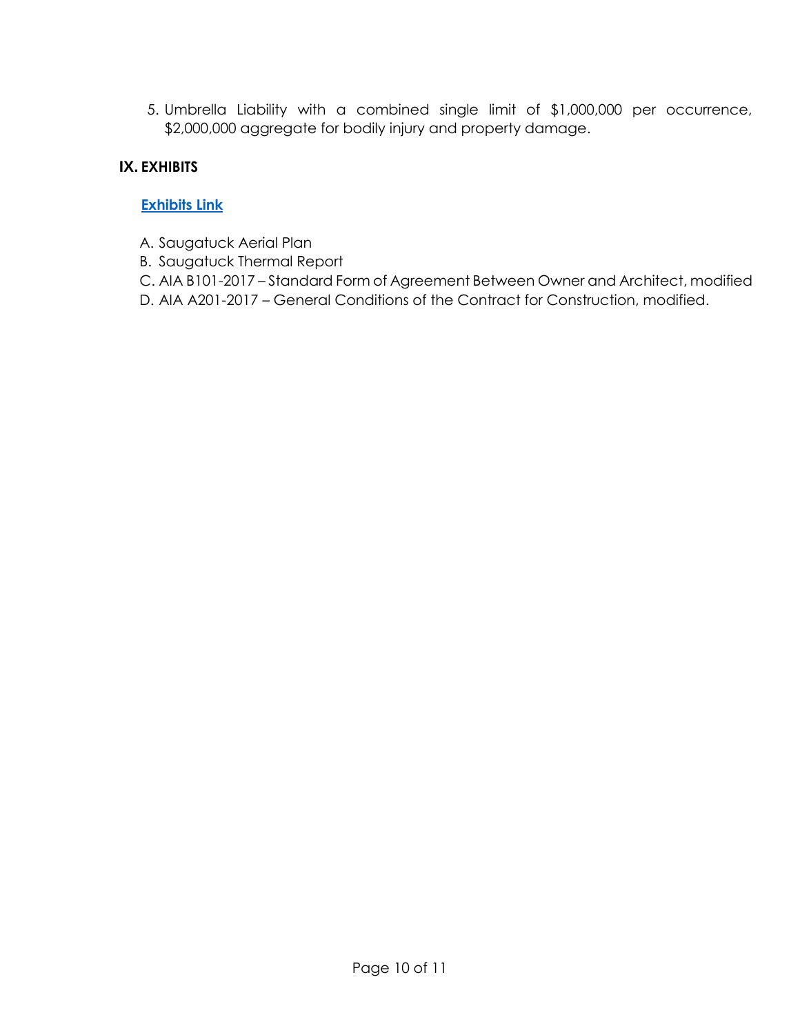5. Umbrella Liability with a combined single limit of \$1,000,000 per occurrence, \$2,000,000 aggregate for bodily injury and property damage.

### **IX. EXHIBITS**

### **[Exhibits Link](https://colliers-my.sharepoint.com/personal/charles_warrington_colliers_com/_layouts/15/guestaccess.aspx?folderid=0d45ee4418be14f17b284195922df3909&authkey=AXm5ltdElXLKWQ7TZgE74gI&expiration=2021-05-02T04%3A00%3A00.000Z&e=ckRRlk)**

- A. Saugatuck Aerial Plan
- B. Saugatuck Thermal Report
- C. AIA B101-2017 Standard Form of Agreement Between Owner and Architect, modified
- D. AIA A201-2017 General Conditions of the Contract for Construction, modified.